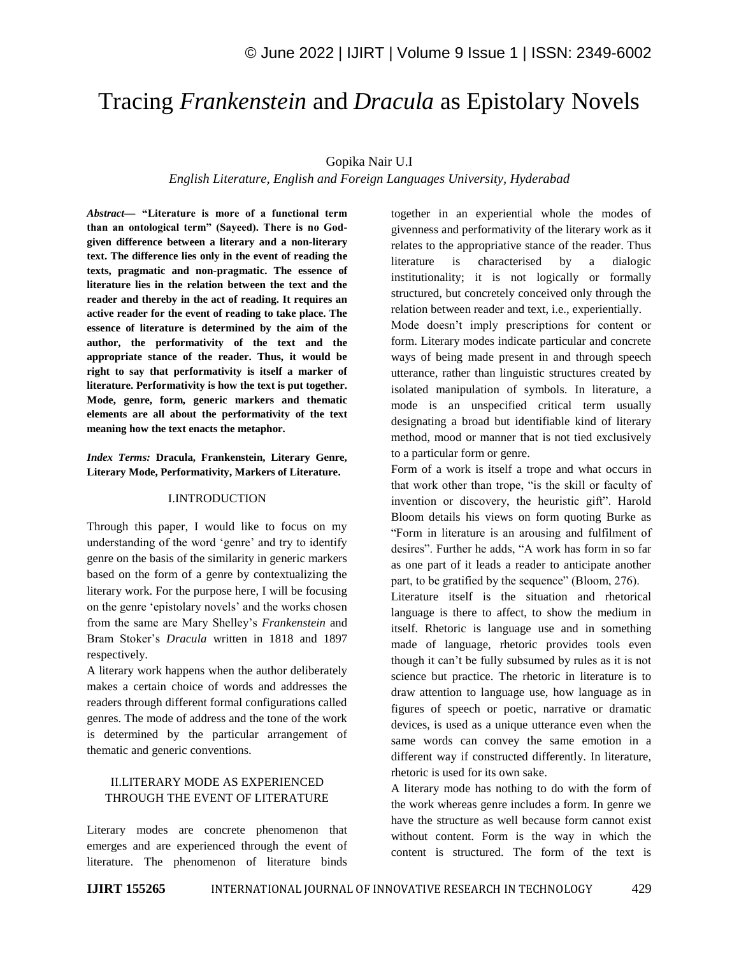# Tracing *Frankenstein* and *Dracula* as Epistolary Novels

# Gopika Nair U.I

# *English Literature, English and Foreign Languages University, Hyderabad*

*Abstract—* **"Literature is more of a functional term than an ontological term" (Sayeed). There is no Godgiven difference between a literary and a non-literary text. The difference lies only in the event of reading the texts, pragmatic and non-pragmatic. The essence of literature lies in the relation between the text and the reader and thereby in the act of reading. It requires an active reader for the event of reading to take place. The essence of literature is determined by the aim of the author, the performativity of the text and the appropriate stance of the reader. Thus, it would be right to say that performativity is itself a marker of literature. Performativity is how the text is put together. Mode, genre, form, generic markers and thematic elements are all about the performativity of the text meaning how the text enacts the metaphor.**

*Index Terms:* **Dracula, Frankenstein, Literary Genre, Literary Mode, Performativity, Markers of Literature.**

#### I.INTRODUCTION

Through this paper, I would like to focus on my understanding of the word 'genre' and try to identify genre on the basis of the similarity in generic markers based on the form of a genre by contextualizing the literary work. For the purpose here, I will be focusing on the genre "epistolary novels" and the works chosen from the same are Mary Shelley"s *Frankenstein* and Bram Stoker"s *Dracula* written in 1818 and 1897 respectively.

A literary work happens when the author deliberately makes a certain choice of words and addresses the readers through different formal configurations called genres. The mode of address and the tone of the work is determined by the particular arrangement of thematic and generic conventions.

## II.LITERARY MODE AS EXPERIENCED THROUGH THE EVENT OF LITERATURE

Literary modes are concrete phenomenon that emerges and are experienced through the event of literature. The phenomenon of literature binds together in an experiential whole the modes of givenness and performativity of the literary work as it relates to the appropriative stance of the reader. Thus literature is characterised by a dialogic institutionality; it is not logically or formally structured, but concretely conceived only through the relation between reader and text, i.e., experientially.

Mode doesn"t imply prescriptions for content or form. Literary modes indicate particular and concrete ways of being made present in and through speech utterance, rather than linguistic structures created by isolated manipulation of symbols. In literature, a mode is an unspecified critical term usually designating a broad but identifiable kind of literary method, mood or manner that is not tied exclusively to a particular form or genre.

Form of a work is itself a trope and what occurs in that work other than trope, "is the skill or faculty of invention or discovery, the heuristic gift". Harold Bloom details his views on form quoting Burke as "Form in literature is an arousing and fulfilment of desires". Further he adds, "A work has form in so far as one part of it leads a reader to anticipate another part, to be gratified by the sequence" (Bloom, 276).

Literature itself is the situation and rhetorical language is there to affect, to show the medium in itself. Rhetoric is language use and in something made of language, rhetoric provides tools even though it can"t be fully subsumed by rules as it is not science but practice. The rhetoric in literature is to draw attention to language use, how language as in figures of speech or poetic, narrative or dramatic devices, is used as a unique utterance even when the same words can convey the same emotion in a different way if constructed differently. In literature, rhetoric is used for its own sake.

A literary mode has nothing to do with the form of the work whereas genre includes a form. In genre we have the structure as well because form cannot exist without content. Form is the way in which the content is structured. The form of the text is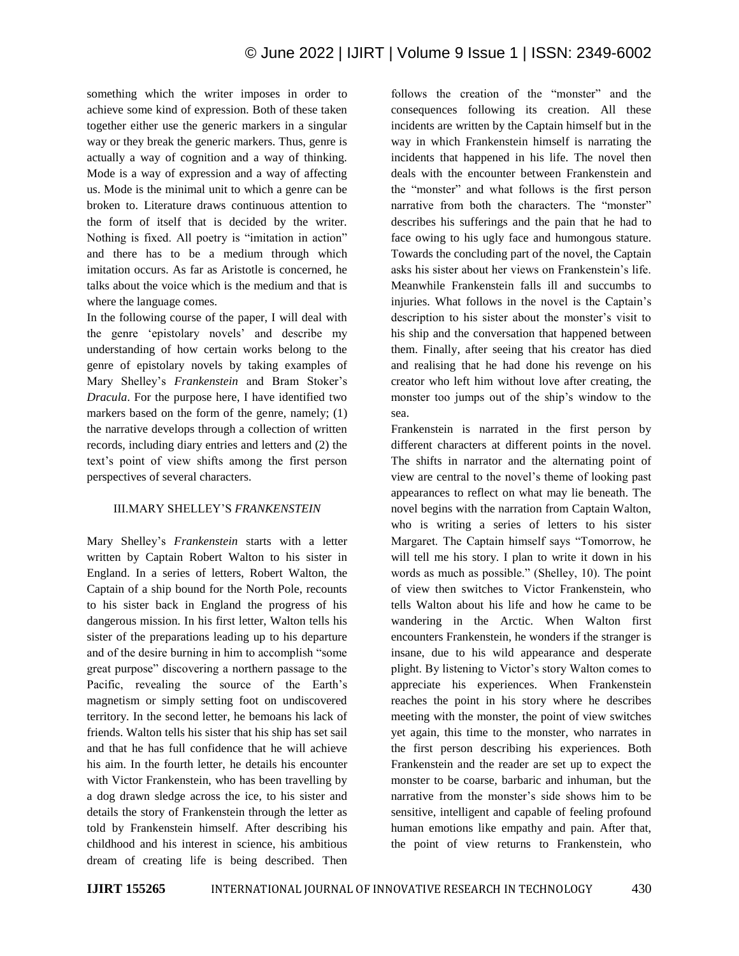something which the writer imposes in order to achieve some kind of expression. Both of these taken together either use the generic markers in a singular way or they break the generic markers. Thus, genre is actually a way of cognition and a way of thinking. Mode is a way of expression and a way of affecting us. Mode is the minimal unit to which a genre can be broken to. Literature draws continuous attention to the form of itself that is decided by the writer. Nothing is fixed. All poetry is "imitation in action" and there has to be a medium through which imitation occurs. As far as Aristotle is concerned, he talks about the voice which is the medium and that is where the language comes.

In the following course of the paper, I will deal with the genre "epistolary novels" and describe my understanding of how certain works belong to the genre of epistolary novels by taking examples of Mary Shelley"s *Frankenstein* and Bram Stoker"s *Dracula*. For the purpose here, I have identified two markers based on the form of the genre, namely; (1) the narrative develops through a collection of written records, including diary entries and letters and (2) the text"s point of view shifts among the first person perspectives of several characters.

#### III.MARY SHELLEY"S *FRANKENSTEIN*

Mary Shelley"s *Frankenstein* starts with a letter written by Captain Robert Walton to his sister in England. In a series of letters, Robert Walton, the Captain of a ship bound for the North Pole, recounts to his sister back in England the progress of his dangerous mission. In his first letter, Walton tells his sister of the preparations leading up to his departure and of the desire burning in him to accomplish "some great purpose" discovering a northern passage to the Pacific, revealing the source of the Earth's magnetism or simply setting foot on undiscovered territory. In the second letter, he bemoans his lack of friends. Walton tells his sister that his ship has set sail and that he has full confidence that he will achieve his aim. In the fourth letter, he details his encounter with Victor Frankenstein, who has been travelling by a dog drawn sledge across the ice, to his sister and details the story of Frankenstein through the letter as told by Frankenstein himself. After describing his childhood and his interest in science, his ambitious dream of creating life is being described. Then follows the creation of the "monster" and the consequences following its creation. All these incidents are written by the Captain himself but in the way in which Frankenstein himself is narrating the incidents that happened in his life. The novel then deals with the encounter between Frankenstein and the "monster" and what follows is the first person narrative from both the characters. The "monster" describes his sufferings and the pain that he had to face owing to his ugly face and humongous stature. Towards the concluding part of the novel, the Captain asks his sister about her views on Frankenstein"s life. Meanwhile Frankenstein falls ill and succumbs to injuries. What follows in the novel is the Captain"s description to his sister about the monster's visit to his ship and the conversation that happened between them. Finally, after seeing that his creator has died and realising that he had done his revenge on his creator who left him without love after creating, the monster too jumps out of the ship"s window to the sea.

Frankenstein is narrated in the first person by different characters at different points in the novel. The shifts in narrator and the alternating point of view are central to the novel"s theme of looking past appearances to reflect on what may lie beneath. The novel begins with the narration from Captain Walton, who is writing a series of letters to his sister Margaret. The Captain himself says "Tomorrow, he will tell me his story. I plan to write it down in his words as much as possible." (Shelley, 10). The point of view then switches to Victor Frankenstein, who tells Walton about his life and how he came to be wandering in the Arctic. When Walton first encounters Frankenstein, he wonders if the stranger is insane, due to his wild appearance and desperate plight. By listening to Victor"s story Walton comes to appreciate his experiences. When Frankenstein reaches the point in his story where he describes meeting with the monster, the point of view switches yet again, this time to the monster, who narrates in the first person describing his experiences. Both Frankenstein and the reader are set up to expect the monster to be coarse, barbaric and inhuman, but the narrative from the monster"s side shows him to be sensitive, intelligent and capable of feeling profound human emotions like empathy and pain. After that, the point of view returns to Frankenstein, who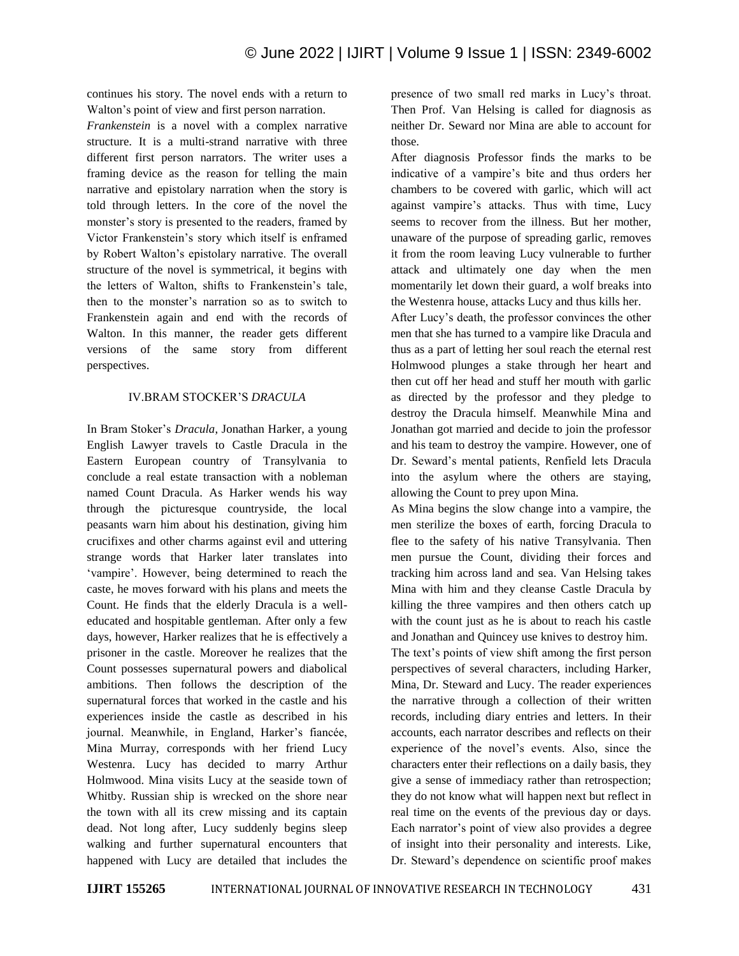continues his story. The novel ends with a return to Walton"s point of view and first person narration.

*Frankenstein* is a novel with a complex narrative structure. It is a multi-strand narrative with three different first person narrators. The writer uses a framing device as the reason for telling the main narrative and epistolary narration when the story is told through letters. In the core of the novel the monster's story is presented to the readers, framed by Victor Frankenstein"s story which itself is enframed by Robert Walton"s epistolary narrative. The overall structure of the novel is symmetrical, it begins with the letters of Walton, shifts to Frankenstein"s tale, then to the monster's narration so as to switch to Frankenstein again and end with the records of Walton. In this manner, the reader gets different versions of the same story from different perspectives.

#### IV.BRAM STOCKER"S *DRACULA*

In Bram Stoker"s *Dracula*, Jonathan Harker, a young English Lawyer travels to Castle Dracula in the Eastern European country of Transylvania to conclude a real estate transaction with a nobleman named Count Dracula. As Harker wends his way through the picturesque countryside, the local peasants warn him about his destination, giving him crucifixes and other charms against evil and uttering strange words that Harker later translates into 'vampire'. However, being determined to reach the caste, he moves forward with his plans and meets the Count. He finds that the elderly Dracula is a welleducated and hospitable gentleman. After only a few days, however, Harker realizes that he is effectively a prisoner in the castle. Moreover he realizes that the Count possesses supernatural powers and diabolical ambitions. Then follows the description of the supernatural forces that worked in the castle and his experiences inside the castle as described in his journal. Meanwhile, in England, Harker's fiancée, Mina Murray, corresponds with her friend Lucy Westenra. Lucy has decided to marry Arthur Holmwood. Mina visits Lucy at the seaside town of Whitby. Russian ship is wrecked on the shore near the town with all its crew missing and its captain dead. Not long after, Lucy suddenly begins sleep walking and further supernatural encounters that happened with Lucy are detailed that includes the presence of two small red marks in Lucy"s throat. Then Prof. Van Helsing is called for diagnosis as neither Dr. Seward nor Mina are able to account for those.

After diagnosis Professor finds the marks to be indicative of a vampire's bite and thus orders her chambers to be covered with garlic, which will act against vampire's attacks. Thus with time, Lucy seems to recover from the illness. But her mother, unaware of the purpose of spreading garlic, removes it from the room leaving Lucy vulnerable to further attack and ultimately one day when the men momentarily let down their guard, a wolf breaks into the Westenra house, attacks Lucy and thus kills her.

After Lucy"s death, the professor convinces the other men that she has turned to a vampire like Dracula and thus as a part of letting her soul reach the eternal rest Holmwood plunges a stake through her heart and then cut off her head and stuff her mouth with garlic as directed by the professor and they pledge to destroy the Dracula himself. Meanwhile Mina and Jonathan got married and decide to join the professor and his team to destroy the vampire. However, one of Dr. Seward"s mental patients, Renfield lets Dracula into the asylum where the others are staying, allowing the Count to prey upon Mina.

As Mina begins the slow change into a vampire, the men sterilize the boxes of earth, forcing Dracula to flee to the safety of his native Transylvania. Then men pursue the Count, dividing their forces and tracking him across land and sea. Van Helsing takes Mina with him and they cleanse Castle Dracula by killing the three vampires and then others catch up with the count just as he is about to reach his castle and Jonathan and Quincey use knives to destroy him. The text's points of view shift among the first person perspectives of several characters, including Harker, Mina, Dr. Steward and Lucy. The reader experiences the narrative through a collection of their written records, including diary entries and letters. In their accounts, each narrator describes and reflects on their experience of the novel"s events. Also, since the characters enter their reflections on a daily basis, they give a sense of immediacy rather than retrospection; they do not know what will happen next but reflect in real time on the events of the previous day or days. Each narrator's point of view also provides a degree of insight into their personality and interests. Like, Dr. Steward"s dependence on scientific proof makes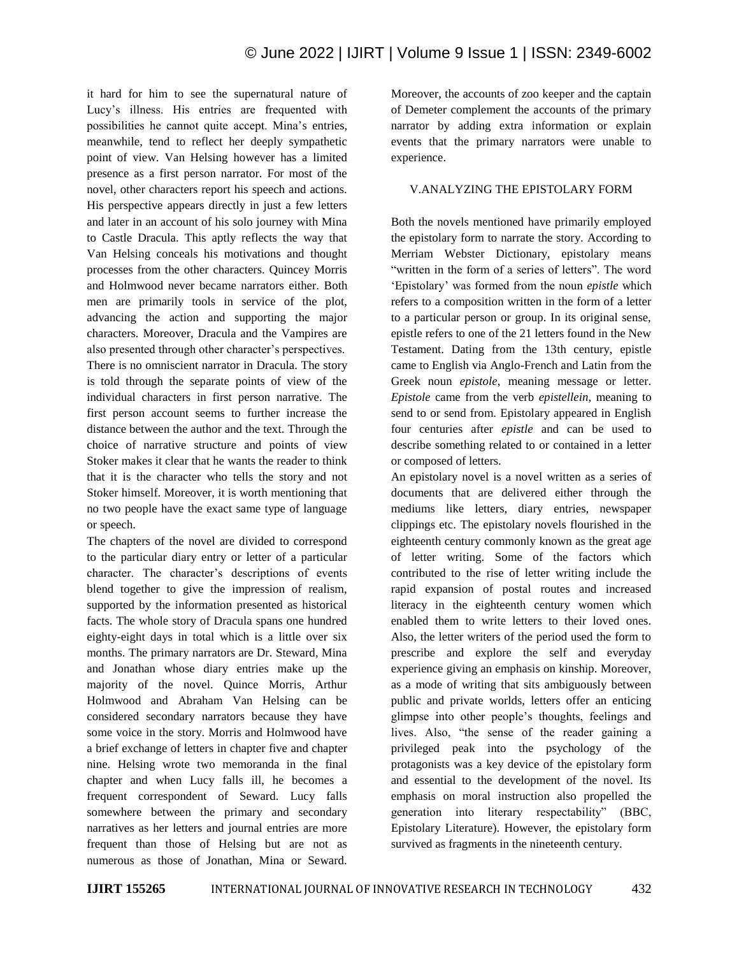it hard for him to see the supernatural nature of Lucy's illness. His entries are frequented with possibilities he cannot quite accept. Mina"s entries, meanwhile, tend to reflect her deeply sympathetic point of view. Van Helsing however has a limited presence as a first person narrator. For most of the novel, other characters report his speech and actions. His perspective appears directly in just a few letters and later in an account of his solo journey with Mina to Castle Dracula. This aptly reflects the way that Van Helsing conceals his motivations and thought processes from the other characters. Quincey Morris and Holmwood never became narrators either. Both men are primarily tools in service of the plot, advancing the action and supporting the major characters. Moreover, Dracula and the Vampires are also presented through other character's perspectives. There is no omniscient narrator in Dracula. The story is told through the separate points of view of the individual characters in first person narrative. The first person account seems to further increase the distance between the author and the text. Through the choice of narrative structure and points of view Stoker makes it clear that he wants the reader to think that it is the character who tells the story and not Stoker himself. Moreover, it is worth mentioning that no two people have the exact same type of language or speech.

The chapters of the novel are divided to correspond to the particular diary entry or letter of a particular character. The character's descriptions of events blend together to give the impression of realism, supported by the information presented as historical facts. The whole story of Dracula spans one hundred eighty-eight days in total which is a little over six months. The primary narrators are Dr. Steward, Mina and Jonathan whose diary entries make up the majority of the novel. Quince Morris, Arthur Holmwood and Abraham Van Helsing can be considered secondary narrators because they have some voice in the story. Morris and Holmwood have a brief exchange of letters in chapter five and chapter nine. Helsing wrote two memoranda in the final chapter and when Lucy falls ill, he becomes a frequent correspondent of Seward. Lucy falls somewhere between the primary and secondary narratives as her letters and journal entries are more frequent than those of Helsing but are not as numerous as those of Jonathan, Mina or Seward.

Moreover, the accounts of zoo keeper and the captain of Demeter complement the accounts of the primary narrator by adding extra information or explain events that the primary narrators were unable to experience.

#### V.ANALYZING THE EPISTOLARY FORM

Both the novels mentioned have primarily employed the epistolary form to narrate the story. According to Merriam Webster Dictionary, epistolary means "written in the form of a series of letters". The word "Epistolary" was formed from the noun *epistle* which refers to a composition written in the form of a letter to a particular person or group. In its original sense, epistle refers to one of the 21 letters found in the New Testament. Dating from the 13th century, epistle came to English via Anglo-French and Latin from the Greek noun *epistole*, meaning message or letter. *Epistole* came from the verb *epistellein*, meaning to send to or send from. Epistolary appeared in English four centuries after *epistle* and can be used to describe something related to or contained in a letter or composed of letters.

An epistolary novel is a novel written as a series of documents that are delivered either through the mediums like letters, diary entries, newspaper clippings etc. The epistolary novels flourished in the eighteenth century commonly known as the great age of letter writing. Some of the factors which contributed to the rise of letter writing include the rapid expansion of postal routes and increased literacy in the eighteenth century women which enabled them to write letters to their loved ones. Also, the letter writers of the period used the form to prescribe and explore the self and everyday experience giving an emphasis on kinship. Moreover, as a mode of writing that sits ambiguously between public and private worlds, letters offer an enticing glimpse into other people"s thoughts, feelings and lives. Also, "the sense of the reader gaining a privileged peak into the psychology of the protagonists was a key device of the epistolary form and essential to the development of the novel. Its emphasis on moral instruction also propelled the generation into literary respectability" (BBC, Epistolary Literature). However, the epistolary form survived as fragments in the nineteenth century.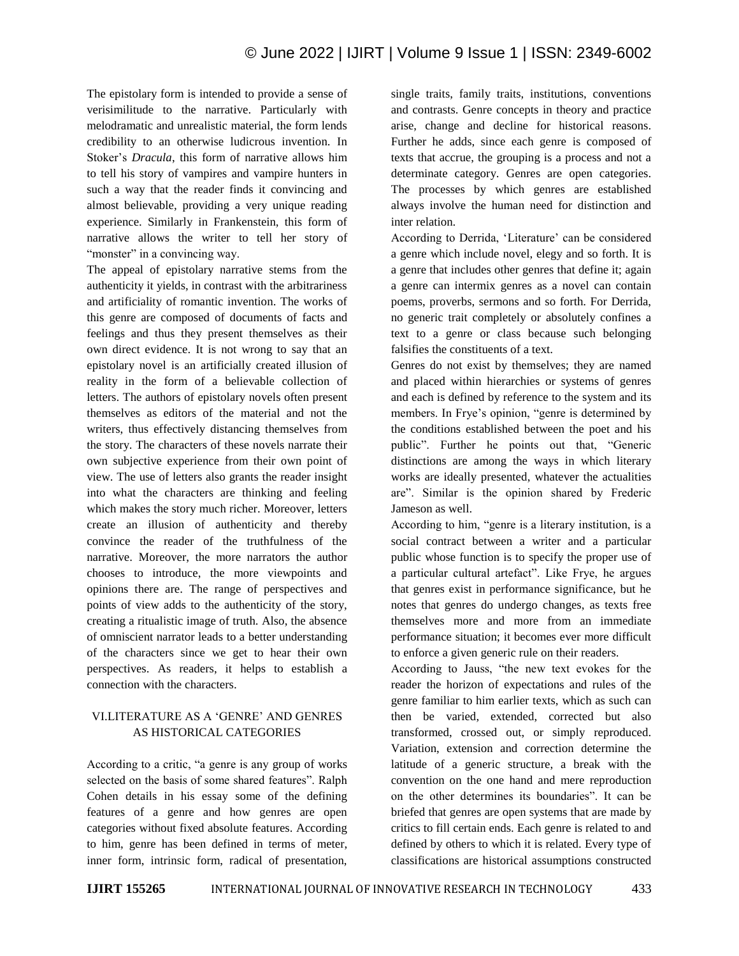The epistolary form is intended to provide a sense of verisimilitude to the narrative. Particularly with melodramatic and unrealistic material, the form lends credibility to an otherwise ludicrous invention. In Stoker"s *Dracula*, this form of narrative allows him to tell his story of vampires and vampire hunters in such a way that the reader finds it convincing and almost believable, providing a very unique reading experience. Similarly in Frankenstein, this form of narrative allows the writer to tell her story of "monster" in a convincing way.

The appeal of epistolary narrative stems from the authenticity it yields, in contrast with the arbitrariness and artificiality of romantic invention. The works of this genre are composed of documents of facts and feelings and thus they present themselves as their own direct evidence. It is not wrong to say that an epistolary novel is an artificially created illusion of reality in the form of a believable collection of letters. The authors of epistolary novels often present themselves as editors of the material and not the writers, thus effectively distancing themselves from the story. The characters of these novels narrate their own subjective experience from their own point of view. The use of letters also grants the reader insight into what the characters are thinking and feeling which makes the story much richer. Moreover, letters create an illusion of authenticity and thereby convince the reader of the truthfulness of the narrative. Moreover, the more narrators the author chooses to introduce, the more viewpoints and opinions there are. The range of perspectives and points of view adds to the authenticity of the story, creating a ritualistic image of truth. Also, the absence of omniscient narrator leads to a better understanding of the characters since we get to hear their own perspectives. As readers, it helps to establish a connection with the characters.

# VI.LITERATURE AS A "GENRE" AND GENRES AS HISTORICAL CATEGORIES

According to a critic, "a genre is any group of works selected on the basis of some shared features". Ralph Cohen details in his essay some of the defining features of a genre and how genres are open categories without fixed absolute features. According to him, genre has been defined in terms of meter, inner form, intrinsic form, radical of presentation, single traits, family traits, institutions, conventions and contrasts. Genre concepts in theory and practice arise, change and decline for historical reasons. Further he adds, since each genre is composed of texts that accrue, the grouping is a process and not a determinate category. Genres are open categories. The processes by which genres are established always involve the human need for distinction and inter relation.

According to Derrida, 'Literature' can be considered a genre which include novel, elegy and so forth. It is a genre that includes other genres that define it; again a genre can intermix genres as a novel can contain poems, proverbs, sermons and so forth. For Derrida, no generic trait completely or absolutely confines a text to a genre or class because such belonging falsifies the constituents of a text.

Genres do not exist by themselves; they are named and placed within hierarchies or systems of genres and each is defined by reference to the system and its members. In Frye's opinion, "genre is determined by the conditions established between the poet and his public". Further he points out that, "Generic distinctions are among the ways in which literary works are ideally presented, whatever the actualities are". Similar is the opinion shared by Frederic Jameson as well.

According to him, "genre is a literary institution, is a social contract between a writer and a particular public whose function is to specify the proper use of a particular cultural artefact". Like Frye, he argues that genres exist in performance significance, but he notes that genres do undergo changes, as texts free themselves more and more from an immediate performance situation; it becomes ever more difficult to enforce a given generic rule on their readers.

According to Jauss, "the new text evokes for the reader the horizon of expectations and rules of the genre familiar to him earlier texts, which as such can then be varied, extended, corrected but also transformed, crossed out, or simply reproduced. Variation, extension and correction determine the latitude of a generic structure, a break with the convention on the one hand and mere reproduction on the other determines its boundaries". It can be briefed that genres are open systems that are made by critics to fill certain ends. Each genre is related to and defined by others to which it is related. Every type of classifications are historical assumptions constructed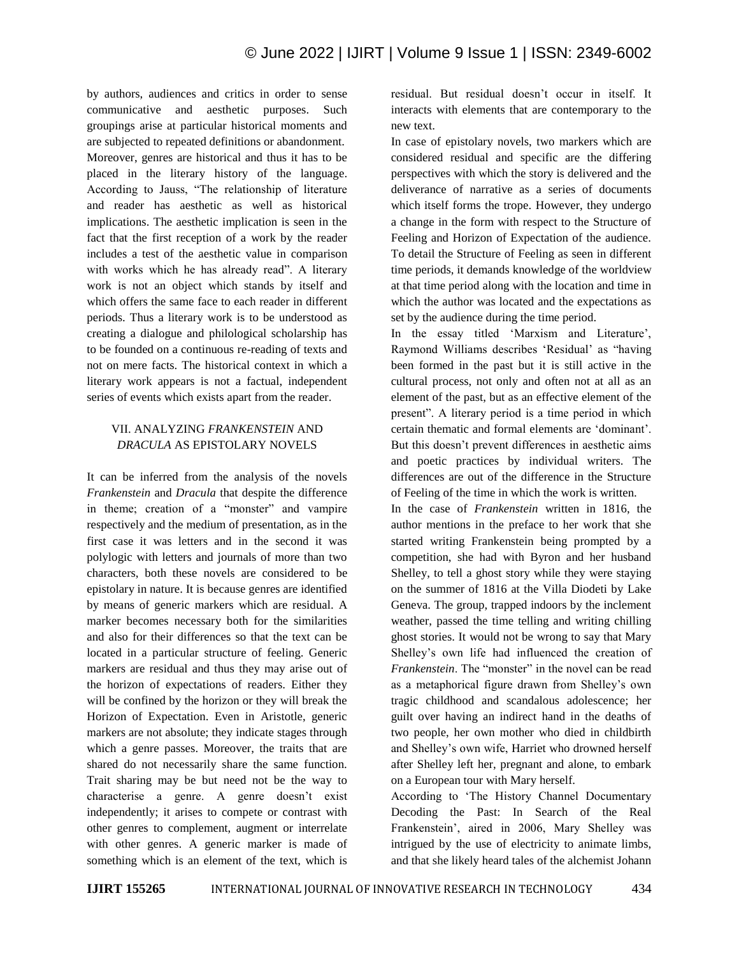by authors, audiences and critics in order to sense communicative and aesthetic purposes. Such groupings arise at particular historical moments and are subjected to repeated definitions or abandonment. Moreover, genres are historical and thus it has to be placed in the literary history of the language. According to Jauss, "The relationship of literature and reader has aesthetic as well as historical implications. The aesthetic implication is seen in the fact that the first reception of a work by the reader includes a test of the aesthetic value in comparison with works which he has already read". A literary work is not an object which stands by itself and which offers the same face to each reader in different periods. Thus a literary work is to be understood as creating a dialogue and philological scholarship has to be founded on a continuous re-reading of texts and not on mere facts. The historical context in which a literary work appears is not a factual, independent series of events which exists apart from the reader.

# VII. ANALYZING *FRANKENSTEIN* AND *DRACULA* AS EPISTOLARY NOVELS

It can be inferred from the analysis of the novels *Frankenstein* and *Dracula* that despite the difference in theme; creation of a "monster" and vampire respectively and the medium of presentation, as in the first case it was letters and in the second it was polylogic with letters and journals of more than two characters, both these novels are considered to be epistolary in nature. It is because genres are identified by means of generic markers which are residual. A marker becomes necessary both for the similarities and also for their differences so that the text can be located in a particular structure of feeling. Generic markers are residual and thus they may arise out of the horizon of expectations of readers. Either they will be confined by the horizon or they will break the Horizon of Expectation. Even in Aristotle, generic markers are not absolute; they indicate stages through which a genre passes. Moreover, the traits that are shared do not necessarily share the same function. Trait sharing may be but need not be the way to characterise a genre. A genre doesn't exist independently; it arises to compete or contrast with other genres to complement, augment or interrelate with other genres. A generic marker is made of something which is an element of the text, which is residual. But residual doesn"t occur in itself. It interacts with elements that are contemporary to the new text.

In case of epistolary novels, two markers which are considered residual and specific are the differing perspectives with which the story is delivered and the deliverance of narrative as a series of documents which itself forms the trope. However, they undergo a change in the form with respect to the Structure of Feeling and Horizon of Expectation of the audience. To detail the Structure of Feeling as seen in different time periods, it demands knowledge of the worldview at that time period along with the location and time in which the author was located and the expectations as set by the audience during the time period.

In the essay titled 'Marxism and Literature', Raymond Williams describes "Residual" as "having been formed in the past but it is still active in the cultural process, not only and often not at all as an element of the past, but as an effective element of the present". A literary period is a time period in which certain thematic and formal elements are "dominant". But this doesn"t prevent differences in aesthetic aims and poetic practices by individual writers. The differences are out of the difference in the Structure of Feeling of the time in which the work is written.

In the case of *Frankenstein* written in 1816, the author mentions in the preface to her work that she started writing Frankenstein being prompted by a competition, she had with Byron and her husband Shelley, to tell a ghost story while they were staying on the summer of 1816 at the Villa Diodeti by Lake Geneva. The group, trapped indoors by the inclement weather, passed the time telling and writing chilling ghost stories. It would not be wrong to say that Mary Shelley"s own life had influenced the creation of *Frankenstein*. The "monster" in the novel can be read as a metaphorical figure drawn from Shelley"s own tragic childhood and scandalous adolescence; her guilt over having an indirect hand in the deaths of two people, her own mother who died in childbirth and Shelley"s own wife, Harriet who drowned herself after Shelley left her, pregnant and alone, to embark on a European tour with Mary herself.

According to "The History Channel Documentary Decoding the Past: In Search of the Real Frankenstein", aired in 2006, Mary Shelley was intrigued by the use of electricity to animate limbs, and that she likely heard tales of the alchemist Johann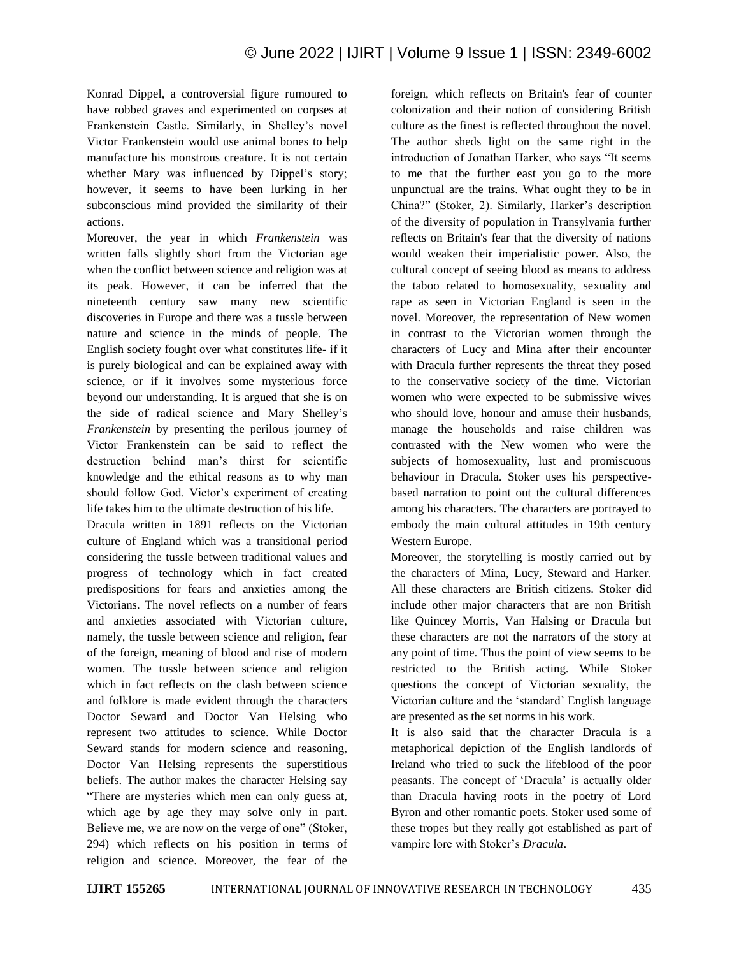Konrad Dippel, a controversial figure rumoured to have robbed graves and experimented on corpses at Frankenstein Castle. Similarly, in Shelley's novel Victor Frankenstein would use animal bones to help manufacture his monstrous creature. It is not certain whether Mary was influenced by Dippel's story; however, it seems to have been lurking in her subconscious mind provided the similarity of their actions.

Moreover, the year in which *Frankenstein* was written falls slightly short from the Victorian age when the conflict between science and religion was at its peak. However, it can be inferred that the nineteenth century saw many new scientific discoveries in Europe and there was a tussle between nature and science in the minds of people. The English society fought over what constitutes life- if it is purely biological and can be explained away with science, or if it involves some mysterious force beyond our understanding. It is argued that she is on the side of radical science and Mary Shelley"s *Frankenstein* by presenting the perilous journey of Victor Frankenstein can be said to reflect the destruction behind man"s thirst for scientific knowledge and the ethical reasons as to why man should follow God. Victor's experiment of creating life takes him to the ultimate destruction of his life.

Dracula written in 1891 reflects on the Victorian culture of England which was a transitional period considering the tussle between traditional values and progress of technology which in fact created predispositions for fears and anxieties among the Victorians. The novel reflects on a number of fears and anxieties associated with Victorian culture, namely, the tussle between science and religion, fear of the foreign, meaning of blood and rise of modern women. The tussle between science and religion which in fact reflects on the clash between science and folklore is made evident through the characters Doctor Seward and Doctor Van Helsing who represent two attitudes to science. While Doctor Seward stands for modern science and reasoning, Doctor Van Helsing represents the superstitious beliefs. The author makes the character Helsing say "There are mysteries which men can only guess at, which age by age they may solve only in part. Believe me, we are now on the verge of one" (Stoker, 294) which reflects on his position in terms of religion and science. Moreover, the fear of the foreign, which reflects on Britain's fear of counter colonization and their notion of considering British culture as the finest is reflected throughout the novel. The author sheds light on the same right in the introduction of Jonathan Harker, who says "It seems to me that the further east you go to the more unpunctual are the trains. What ought they to be in China?" (Stoker, 2). Similarly, Harker's description of the diversity of population in Transylvania further reflects on Britain's fear that the diversity of nations would weaken their imperialistic power. Also, the cultural concept of seeing blood as means to address the taboo related to homosexuality, sexuality and rape as seen in Victorian England is seen in the novel. Moreover, the representation of New women in contrast to the Victorian women through the characters of Lucy and Mina after their encounter with Dracula further represents the threat they posed to the conservative society of the time. Victorian women who were expected to be submissive wives who should love, honour and amuse their husbands, manage the households and raise children was contrasted with the New women who were the subjects of homosexuality, lust and promiscuous behaviour in Dracula. Stoker uses his perspectivebased narration to point out the cultural differences among his characters. The characters are portrayed to embody the main cultural attitudes in 19th century Western Europe.

Moreover, the storytelling is mostly carried out by the characters of Mina, Lucy, Steward and Harker. All these characters are British citizens. Stoker did include other major characters that are non British like Quincey Morris, Van Halsing or Dracula but these characters are not the narrators of the story at any point of time. Thus the point of view seems to be restricted to the British acting. While Stoker questions the concept of Victorian sexuality, the Victorian culture and the "standard" English language are presented as the set norms in his work.

It is also said that the character Dracula is a metaphorical depiction of the English landlords of Ireland who tried to suck the lifeblood of the poor peasants. The concept of "Dracula" is actually older than Dracula having roots in the poetry of Lord Byron and other romantic poets. Stoker used some of these tropes but they really got established as part of vampire lore with Stoker"s *Dracula*.